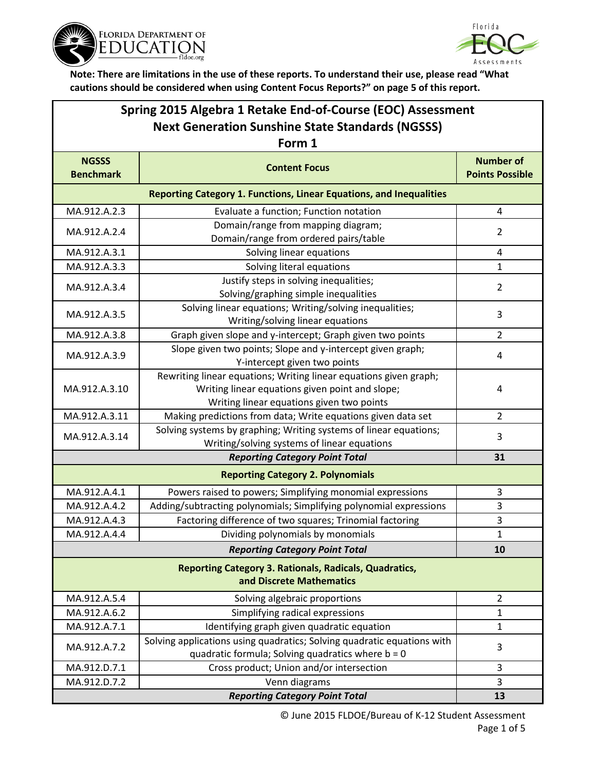



| Spring 2015 Algebra 1 Retake End-of-Course (EOC) Assessment<br><b>Next Generation Sunshine State Standards (NGSSS)</b> |                                                                                                                                                                   |                                            |  |  |  |
|------------------------------------------------------------------------------------------------------------------------|-------------------------------------------------------------------------------------------------------------------------------------------------------------------|--------------------------------------------|--|--|--|
| Form 1                                                                                                                 |                                                                                                                                                                   |                                            |  |  |  |
| <b>NGSSS</b><br><b>Benchmark</b>                                                                                       | <b>Content Focus</b>                                                                                                                                              | <b>Number of</b><br><b>Points Possible</b> |  |  |  |
| <b>Reporting Category 1. Functions, Linear Equations, and Inequalities</b>                                             |                                                                                                                                                                   |                                            |  |  |  |
| MA.912.A.2.3                                                                                                           | Evaluate a function; Function notation                                                                                                                            | 4                                          |  |  |  |
| MA.912.A.2.4                                                                                                           | Domain/range from mapping diagram;<br>Domain/range from ordered pairs/table                                                                                       | $\overline{2}$                             |  |  |  |
| MA.912.A.3.1                                                                                                           | Solving linear equations                                                                                                                                          | 4                                          |  |  |  |
| MA.912.A.3.3                                                                                                           | Solving literal equations                                                                                                                                         | 1                                          |  |  |  |
| MA.912.A.3.4                                                                                                           | Justify steps in solving inequalities;<br>Solving/graphing simple inequalities                                                                                    | $\overline{2}$                             |  |  |  |
| MA.912.A.3.5                                                                                                           | Solving linear equations; Writing/solving inequalities;<br>Writing/solving linear equations                                                                       | 3                                          |  |  |  |
| MA.912.A.3.8                                                                                                           | Graph given slope and y-intercept; Graph given two points                                                                                                         | $\overline{2}$                             |  |  |  |
| MA.912.A.3.9                                                                                                           | Slope given two points; Slope and y-intercept given graph;<br>Y-intercept given two points                                                                        | 4                                          |  |  |  |
| MA.912.A.3.10                                                                                                          | Rewriting linear equations; Writing linear equations given graph;<br>Writing linear equations given point and slope;<br>Writing linear equations given two points | 4                                          |  |  |  |
| MA.912.A.3.11                                                                                                          | Making predictions from data; Write equations given data set                                                                                                      | $\overline{2}$                             |  |  |  |
| MA.912.A.3.14                                                                                                          | Solving systems by graphing; Writing systems of linear equations;<br>Writing/solving systems of linear equations                                                  | 3                                          |  |  |  |
|                                                                                                                        | <b>Reporting Category Point Total</b>                                                                                                                             | 31                                         |  |  |  |
|                                                                                                                        | <b>Reporting Category 2. Polynomials</b>                                                                                                                          |                                            |  |  |  |
| MA.912.A.4.1                                                                                                           | Powers raised to powers; Simplifying monomial expressions                                                                                                         | 3                                          |  |  |  |
| MA.912.A.4.2                                                                                                           | Adding/subtracting polynomials; Simplifying polynomial expressions                                                                                                | 3                                          |  |  |  |
| MA.912.A.4.3                                                                                                           | Factoring difference of two squares; Trinomial factoring                                                                                                          | $\overline{3}$                             |  |  |  |
| MA.912.A.4.4                                                                                                           | Dividing polynomials by monomials                                                                                                                                 | 1                                          |  |  |  |
|                                                                                                                        | <b>Reporting Category Point Total</b>                                                                                                                             | 10                                         |  |  |  |
| <b>Reporting Category 3. Rationals, Radicals, Quadratics,</b><br>and Discrete Mathematics                              |                                                                                                                                                                   |                                            |  |  |  |
| MA.912.A.5.4                                                                                                           | Solving algebraic proportions                                                                                                                                     | $\overline{2}$                             |  |  |  |
| MA.912.A.6.2                                                                                                           | Simplifying radical expressions                                                                                                                                   | $\mathbf 1$                                |  |  |  |
| MA.912.A.7.1                                                                                                           | Identifying graph given quadratic equation                                                                                                                        | 1                                          |  |  |  |
| MA.912.A.7.2                                                                                                           | Solving applications using quadratics; Solving quadratic equations with<br>quadratic formula; Solving quadratics where $b = 0$                                    | 3                                          |  |  |  |
| MA.912.D.7.1                                                                                                           | Cross product; Union and/or intersection                                                                                                                          | 3                                          |  |  |  |
| MA.912.D.7.2                                                                                                           | Venn diagrams                                                                                                                                                     | 3                                          |  |  |  |
|                                                                                                                        | <b>Reporting Category Point Total</b>                                                                                                                             | 13                                         |  |  |  |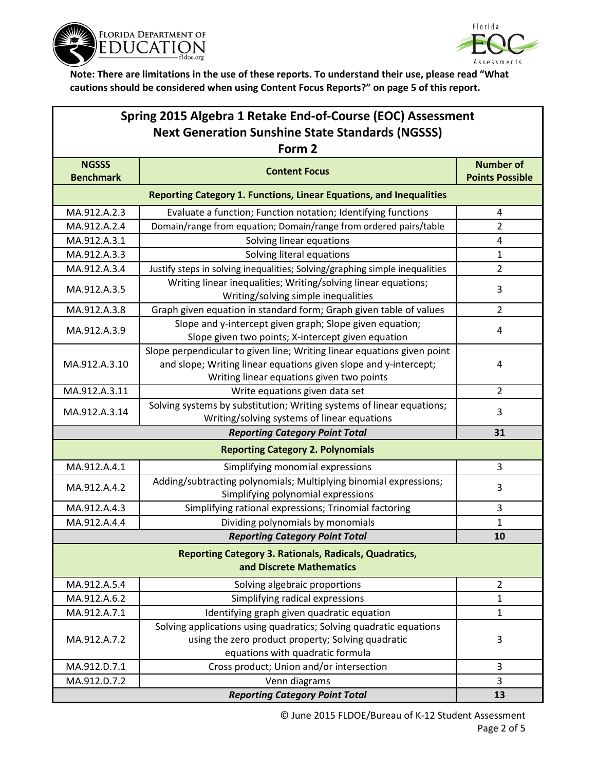



| Spring 2015 Algebra 1 Retake End-of-Course (EOC) Assessment<br><b>Next Generation Sunshine State Standards (NGSSS)</b><br>Form 2 |                                                                                                                                                                                          |                |  |  |                                  |                                                                            |                                            |
|----------------------------------------------------------------------------------------------------------------------------------|------------------------------------------------------------------------------------------------------------------------------------------------------------------------------------------|----------------|--|--|----------------------------------|----------------------------------------------------------------------------|--------------------------------------------|
|                                                                                                                                  |                                                                                                                                                                                          |                |  |  | <b>NGSSS</b><br><b>Benchmark</b> | <b>Content Focus</b>                                                       | <b>Number of</b><br><b>Points Possible</b> |
|                                                                                                                                  |                                                                                                                                                                                          |                |  |  |                                  | <b>Reporting Category 1. Functions, Linear Equations, and Inequalities</b> |                                            |
| MA.912.A.2.3                                                                                                                     | Evaluate a function; Function notation; Identifying functions                                                                                                                            | 4              |  |  |                                  |                                                                            |                                            |
| MA.912.A.2.4                                                                                                                     | Domain/range from equation; Domain/range from ordered pairs/table                                                                                                                        | 2              |  |  |                                  |                                                                            |                                            |
| MA.912.A.3.1                                                                                                                     | Solving linear equations                                                                                                                                                                 | 4              |  |  |                                  |                                                                            |                                            |
| MA.912.A.3.3                                                                                                                     | Solving literal equations                                                                                                                                                                | 1              |  |  |                                  |                                                                            |                                            |
| MA.912.A.3.4                                                                                                                     | Justify steps in solving inequalities; Solving/graphing simple inequalities                                                                                                              | $\overline{2}$ |  |  |                                  |                                                                            |                                            |
| MA.912.A.3.5                                                                                                                     | Writing linear inequalities; Writing/solving linear equations;<br>Writing/solving simple inequalities                                                                                    | 3              |  |  |                                  |                                                                            |                                            |
| MA.912.A.3.8                                                                                                                     | Graph given equation in standard form; Graph given table of values                                                                                                                       | $\overline{2}$ |  |  |                                  |                                                                            |                                            |
| MA.912.A.3.9                                                                                                                     | Slope and y-intercept given graph; Slope given equation;<br>Slope given two points; X-intercept given equation                                                                           | 4              |  |  |                                  |                                                                            |                                            |
| MA.912.A.3.10                                                                                                                    | Slope perpendicular to given line; Writing linear equations given point<br>and slope; Writing linear equations given slope and y-intercept;<br>Writing linear equations given two points | 4              |  |  |                                  |                                                                            |                                            |
| MA.912.A.3.11                                                                                                                    | Write equations given data set                                                                                                                                                           | $\overline{2}$ |  |  |                                  |                                                                            |                                            |
| MA.912.A.3.14                                                                                                                    | Solving systems by substitution; Writing systems of linear equations;<br>Writing/solving systems of linear equations                                                                     | 3              |  |  |                                  |                                                                            |                                            |
|                                                                                                                                  | <b>Reporting Category Point Total</b>                                                                                                                                                    | 31             |  |  |                                  |                                                                            |                                            |
|                                                                                                                                  | <b>Reporting Category 2. Polynomials</b>                                                                                                                                                 |                |  |  |                                  |                                                                            |                                            |
| MA.912.A.4.1                                                                                                                     | Simplifying monomial expressions                                                                                                                                                         | 3              |  |  |                                  |                                                                            |                                            |
| MA.912.A.4.2                                                                                                                     | Adding/subtracting polynomials; Multiplying binomial expressions;<br>Simplifying polynomial expressions                                                                                  | 3              |  |  |                                  |                                                                            |                                            |
| MA.912.A.4.3                                                                                                                     | Simplifying rational expressions; Trinomial factoring                                                                                                                                    | 3              |  |  |                                  |                                                                            |                                            |
| MA.912.A.4.4                                                                                                                     | Dividing polynomials by monomials                                                                                                                                                        | $\mathbf{1}$   |  |  |                                  |                                                                            |                                            |
|                                                                                                                                  | <b>Reporting Category Point Total</b>                                                                                                                                                    | 10             |  |  |                                  |                                                                            |                                            |
| <b>Reporting Category 3. Rationals, Radicals, Quadratics,</b><br>and Discrete Mathematics                                        |                                                                                                                                                                                          |                |  |  |                                  |                                                                            |                                            |
| MA.912.A.5.4                                                                                                                     | Solving algebraic proportions                                                                                                                                                            | $\overline{2}$ |  |  |                                  |                                                                            |                                            |
| MA.912.A.6.2                                                                                                                     | Simplifying radical expressions                                                                                                                                                          | $\mathbf 1$    |  |  |                                  |                                                                            |                                            |
| MA.912.A.7.1                                                                                                                     | Identifying graph given quadratic equation                                                                                                                                               | 1              |  |  |                                  |                                                                            |                                            |
| MA.912.A.7.2                                                                                                                     | Solving applications using quadratics; Solving quadratic equations<br>using the zero product property; Solving quadratic<br>equations with quadratic formula                             | 3              |  |  |                                  |                                                                            |                                            |
| MA.912.D.7.1                                                                                                                     | Cross product; Union and/or intersection                                                                                                                                                 | 3              |  |  |                                  |                                                                            |                                            |
| MA.912.D.7.2                                                                                                                     | Venn diagrams                                                                                                                                                                            | $\overline{3}$ |  |  |                                  |                                                                            |                                            |
|                                                                                                                                  | <b>Reporting Category Point Total</b>                                                                                                                                                    | 13             |  |  |                                  |                                                                            |                                            |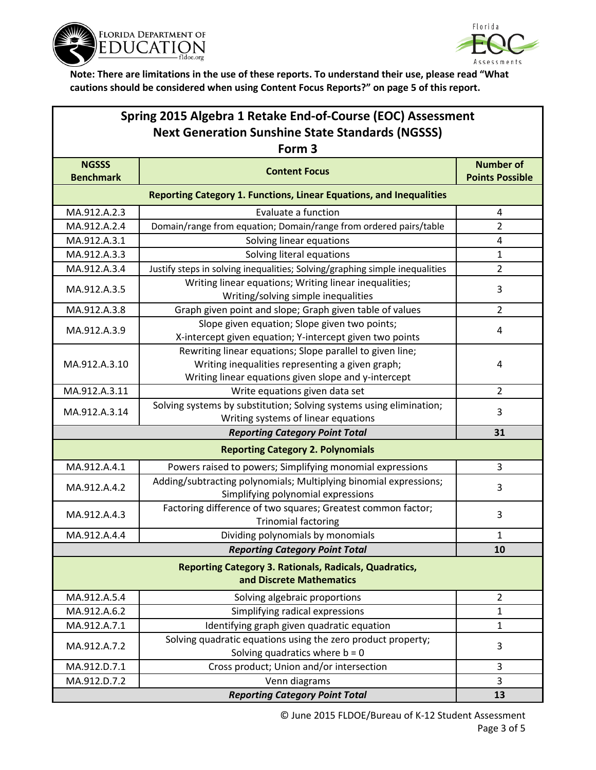



| Spring 2015 Algebra 1 Retake End-of-Course (EOC) Assessment                               |                                                                                                                                                                       |                                            |  |  |  |
|-------------------------------------------------------------------------------------------|-----------------------------------------------------------------------------------------------------------------------------------------------------------------------|--------------------------------------------|--|--|--|
| <b>Next Generation Sunshine State Standards (NGSSS)</b>                                   |                                                                                                                                                                       |                                            |  |  |  |
| Form <sub>3</sub>                                                                         |                                                                                                                                                                       |                                            |  |  |  |
| <b>NGSSS</b><br><b>Benchmark</b>                                                          | <b>Content Focus</b>                                                                                                                                                  | <b>Number of</b><br><b>Points Possible</b> |  |  |  |
| <b>Reporting Category 1. Functions, Linear Equations, and Inequalities</b>                |                                                                                                                                                                       |                                            |  |  |  |
| MA.912.A.2.3                                                                              | Evaluate a function                                                                                                                                                   | 4                                          |  |  |  |
| MA.912.A.2.4                                                                              | Domain/range from equation; Domain/range from ordered pairs/table                                                                                                     | $\overline{2}$                             |  |  |  |
| MA.912.A.3.1                                                                              | Solving linear equations                                                                                                                                              | 4                                          |  |  |  |
| MA.912.A.3.3                                                                              | Solving literal equations                                                                                                                                             | 1                                          |  |  |  |
| MA.912.A.3.4                                                                              | Justify steps in solving inequalities; Solving/graphing simple inequalities                                                                                           | 2                                          |  |  |  |
| MA.912.A.3.5                                                                              | Writing linear equations; Writing linear inequalities;<br>Writing/solving simple inequalities                                                                         | 3                                          |  |  |  |
| MA.912.A.3.8                                                                              | Graph given point and slope; Graph given table of values                                                                                                              | $\overline{2}$                             |  |  |  |
| MA.912.A.3.9                                                                              | Slope given equation; Slope given two points;<br>X-intercept given equation; Y-intercept given two points                                                             | 4                                          |  |  |  |
| MA.912.A.3.10                                                                             | Rewriting linear equations; Slope parallel to given line;<br>Writing inequalities representing a given graph;<br>Writing linear equations given slope and y-intercept | 4                                          |  |  |  |
| MA.912.A.3.11                                                                             | Write equations given data set                                                                                                                                        | $\overline{2}$                             |  |  |  |
| MA.912.A.3.14                                                                             | Solving systems by substitution; Solving systems using elimination;<br>Writing systems of linear equations                                                            | 3                                          |  |  |  |
| <b>Reporting Category Point Total</b>                                                     |                                                                                                                                                                       | 31                                         |  |  |  |
|                                                                                           | <b>Reporting Category 2. Polynomials</b>                                                                                                                              |                                            |  |  |  |
| MA.912.A.4.1                                                                              | Powers raised to powers; Simplifying monomial expressions                                                                                                             | 3                                          |  |  |  |
| MA.912.A.4.2                                                                              | Adding/subtracting polynomials; Multiplying binomial expressions;<br>Simplifying polynomial expressions                                                               | 3                                          |  |  |  |
| MA.912.A.4.3                                                                              | Factoring difference of two squares; Greatest common factor;<br><b>Trinomial factoring</b>                                                                            | 3                                          |  |  |  |
| MA.912.A.4.4                                                                              | Dividing polynomials by monomials                                                                                                                                     | 1                                          |  |  |  |
| <b>Reporting Category Point Total</b>                                                     |                                                                                                                                                                       | 10                                         |  |  |  |
| <b>Reporting Category 3. Rationals, Radicals, Quadratics,</b><br>and Discrete Mathematics |                                                                                                                                                                       |                                            |  |  |  |
| MA.912.A.5.4                                                                              | Solving algebraic proportions                                                                                                                                         | $\overline{2}$                             |  |  |  |
| MA.912.A.6.2                                                                              | Simplifying radical expressions                                                                                                                                       | 1                                          |  |  |  |
| MA.912.A.7.1                                                                              | Identifying graph given quadratic equation                                                                                                                            | 1                                          |  |  |  |
| MA.912.A.7.2                                                                              | Solving quadratic equations using the zero product property;<br>Solving quadratics where $b = 0$                                                                      | 3                                          |  |  |  |
| MA.912.D.7.1                                                                              | Cross product; Union and/or intersection                                                                                                                              | 3                                          |  |  |  |
| MA.912.D.7.2                                                                              | Venn diagrams                                                                                                                                                         | 3                                          |  |  |  |
|                                                                                           | <b>Reporting Category Point Total</b>                                                                                                                                 | 13                                         |  |  |  |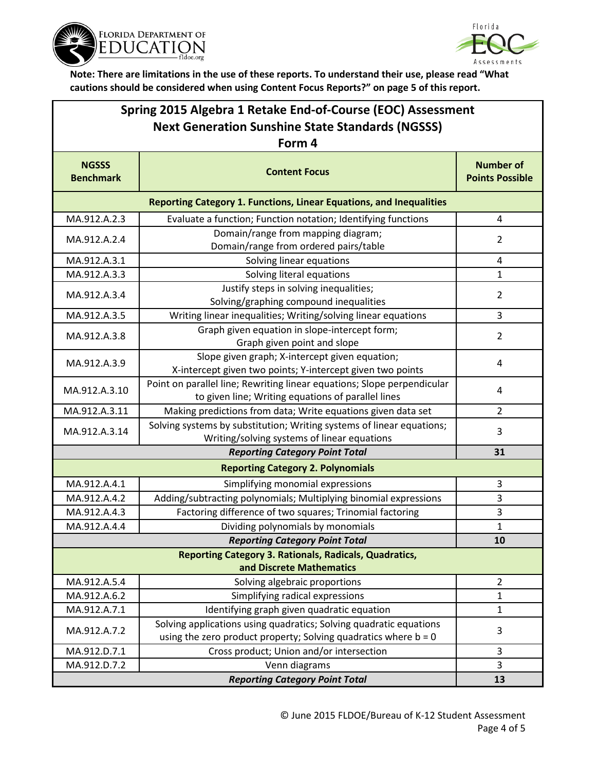



| Spring 2015 Algebra 1 Retake End-of-Course (EOC) Assessment<br><b>Next Generation Sunshine State Standards (NGSSS)</b> |                                                                                                                                         |                                            |  |  |  |
|------------------------------------------------------------------------------------------------------------------------|-----------------------------------------------------------------------------------------------------------------------------------------|--------------------------------------------|--|--|--|
| <b>NGSSS</b><br><b>Benchmark</b>                                                                                       | Form 4<br><b>Content Focus</b>                                                                                                          | <b>Number of</b><br><b>Points Possible</b> |  |  |  |
| <b>Reporting Category 1. Functions, Linear Equations, and Inequalities</b>                                             |                                                                                                                                         |                                            |  |  |  |
| MA.912.A.2.3                                                                                                           | Evaluate a function; Function notation; Identifying functions                                                                           | 4                                          |  |  |  |
| MA.912.A.2.4                                                                                                           | Domain/range from mapping diagram;<br>Domain/range from ordered pairs/table                                                             | $\overline{2}$                             |  |  |  |
| MA.912.A.3.1                                                                                                           | Solving linear equations                                                                                                                | 4                                          |  |  |  |
| MA.912.A.3.3                                                                                                           | Solving literal equations                                                                                                               | 1                                          |  |  |  |
| MA.912.A.3.4                                                                                                           | Justify steps in solving inequalities;<br>Solving/graphing compound inequalities                                                        | $\overline{2}$                             |  |  |  |
| MA.912.A.3.5                                                                                                           | Writing linear inequalities; Writing/solving linear equations                                                                           | 3                                          |  |  |  |
| MA.912.A.3.8                                                                                                           | Graph given equation in slope-intercept form;<br>Graph given point and slope                                                            | $\overline{2}$                             |  |  |  |
| MA.912.A.3.9                                                                                                           | Slope given graph; X-intercept given equation;<br>X-intercept given two points; Y-intercept given two points                            | 4                                          |  |  |  |
| MA.912.A.3.10                                                                                                          | Point on parallel line; Rewriting linear equations; Slope perpendicular<br>to given line; Writing equations of parallel lines           | 4                                          |  |  |  |
| MA.912.A.3.11                                                                                                          | Making predictions from data; Write equations given data set                                                                            | $\overline{2}$                             |  |  |  |
| MA.912.A.3.14                                                                                                          | Solving systems by substitution; Writing systems of linear equations;<br>Writing/solving systems of linear equations                    | 3                                          |  |  |  |
|                                                                                                                        | 31                                                                                                                                      |                                            |  |  |  |
| <b>Reporting Category 2. Polynomials</b>                                                                               |                                                                                                                                         |                                            |  |  |  |
| MA.912.A.4.1                                                                                                           | Simplifying monomial expressions                                                                                                        | 3                                          |  |  |  |
| MA.912.A.4.2                                                                                                           | Adding/subtracting polynomials; Multiplying binomial expressions                                                                        | 3                                          |  |  |  |
| MA.912.A.4.3                                                                                                           | Factoring difference of two squares; Trinomial factoring                                                                                | 3                                          |  |  |  |
| MA.912.A.4.4                                                                                                           | Dividing polynomials by monomials                                                                                                       | 1                                          |  |  |  |
|                                                                                                                        | <b>Reporting Category Point Total</b>                                                                                                   | 10                                         |  |  |  |
| <b>Reporting Category 3. Rationals, Radicals, Quadratics,</b><br>and Discrete Mathematics                              |                                                                                                                                         |                                            |  |  |  |
| MA.912.A.5.4                                                                                                           | Solving algebraic proportions                                                                                                           | $\overline{2}$                             |  |  |  |
| MA.912.A.6.2                                                                                                           | Simplifying radical expressions                                                                                                         | 1                                          |  |  |  |
| MA.912.A.7.1                                                                                                           | Identifying graph given quadratic equation                                                                                              | $\mathbf{1}$                               |  |  |  |
| MA.912.A.7.2                                                                                                           | Solving applications using quadratics; Solving quadratic equations<br>using the zero product property; Solving quadratics where $b = 0$ | 3                                          |  |  |  |
| MA.912.D.7.1                                                                                                           | Cross product; Union and/or intersection                                                                                                | 3                                          |  |  |  |
| MA.912.D.7.2                                                                                                           | Venn diagrams<br><b>Reporting Category Point Total</b>                                                                                  | 3                                          |  |  |  |
|                                                                                                                        | 13                                                                                                                                      |                                            |  |  |  |